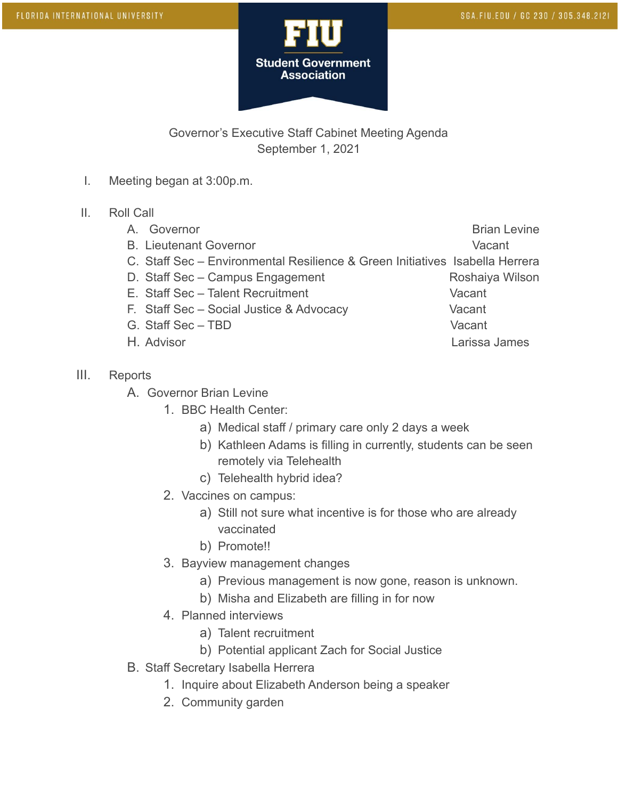

## Governor's Executive Staff Cabinet Meeting Agenda September 1, 2021

- I. Meeting began at 3:00p.m.
- II. Roll Call
	- A. Governor **Brian Levine**
	- B. Lieutenant Governor vacant
	- C. Staff Sec Environmental Resilience & Green Initiatives Isabella Herrera
	- D. Staff Sec Campus Engagement Roshaiya Wilson
	- E. Staff Sec Talent Recruitment Vacant
	- F. Staff Sec Social Justice & Advocacy Vacant
	- G. Staff Sec TBD Vacant
	-
- III. Reports
	- A. Governor Brian Levine
		- 1. BBC Health Center:
			- a) Medical staff / primary care only 2 days a week
			- b) Kathleen Adams is filling in currently, students can be seen remotely via Telehealth
			- c) Telehealth hybrid idea?
		- 2. Vaccines on campus:
			- a) Still not sure what incentive is for those who are already vaccinated
			- b) Promote!!
		- 3. Bayview management changes
			- a) Previous management is now gone, reason is unknown.
			- b) Misha and Elizabeth are filling in for now
		- 4. Planned interviews
			- a) Talent recruitment
			- b) Potential applicant Zach for Social Justice
	- B. Staff Secretary Isabella Herrera
		- 1. Inquire about Elizabeth Anderson being a speaker
		- 2. Community garden

- 
- 
- H. Advisor Larissa James